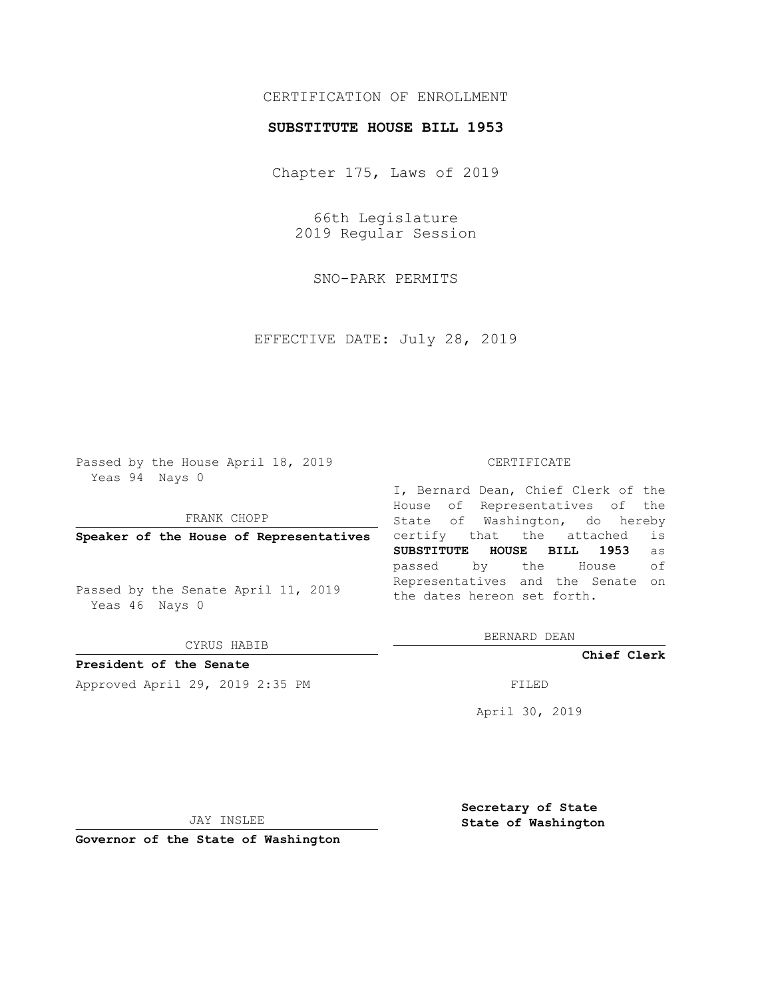## CERTIFICATION OF ENROLLMENT

## **SUBSTITUTE HOUSE BILL 1953**

Chapter 175, Laws of 2019

66th Legislature 2019 Regular Session

SNO-PARK PERMITS

EFFECTIVE DATE: July 28, 2019

Passed by the House April 18, 2019 Yeas 94 Nays 0

FRANK CHOPP

**Speaker of the House of Representatives**

Passed by the Senate April 11, 2019 Yeas 46 Nays 0

CYRUS HABIB

**President of the Senate**

Approved April 29, 2019 2:35 PM FILED

#### CERTIFICATE

I, Bernard Dean, Chief Clerk of the House of Representatives of the State of Washington, do hereby certify that the attached is **SUBSTITUTE HOUSE BILL 1953** as passed by the House of Representatives and the Senate on the dates hereon set forth.

BERNARD DEAN

**Chief Clerk**

April 30, 2019

JAY INSLEE

**Governor of the State of Washington**

**Secretary of State State of Washington**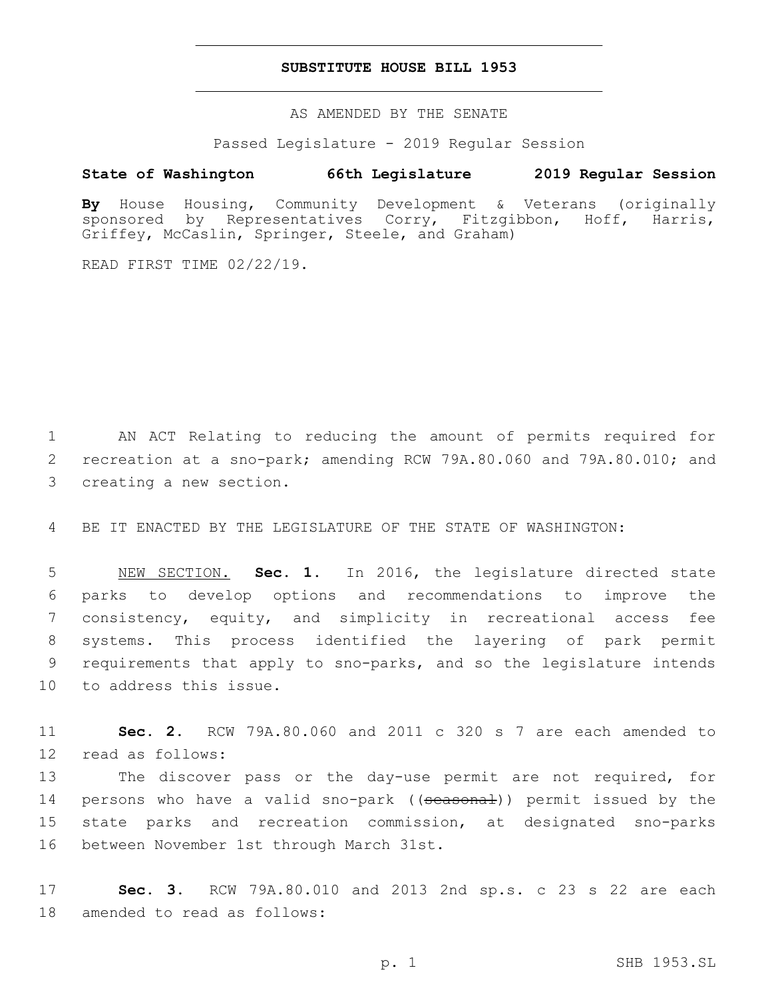### **SUBSTITUTE HOUSE BILL 1953**

AS AMENDED BY THE SENATE

Passed Legislature - 2019 Regular Session

# **State of Washington 66th Legislature 2019 Regular Session**

**By** House Housing, Community Development & Veterans (originally sponsored by Representatives Corry, Fitzgibbon, Hoff, Harris, Griffey, McCaslin, Springer, Steele, and Graham)

READ FIRST TIME 02/22/19.

1 AN ACT Relating to reducing the amount of permits required for 2 recreation at a sno-park; amending RCW 79A.80.060 and 79A.80.010; and 3 creating a new section.

4 BE IT ENACTED BY THE LEGISLATURE OF THE STATE OF WASHINGTON:

 NEW SECTION. **Sec. 1.** In 2016, the legislature directed state parks to develop options and recommendations to improve the consistency, equity, and simplicity in recreational access fee systems. This process identified the layering of park permit requirements that apply to sno-parks, and so the legislature intends to address this issue.

11 **Sec. 2.** RCW 79A.80.060 and 2011 c 320 s 7 are each amended to 12 read as follows:

13 The discover pass or the day-use permit are not required, for 14 persons who have a valid sno-park ((seasonal)) permit issued by the 15 state parks and recreation commission, at designated sno-parks 16 between November 1st through March 31st.

17 **Sec. 3.** RCW 79A.80.010 and 2013 2nd sp.s. c 23 s 22 are each 18 amended to read as follows: